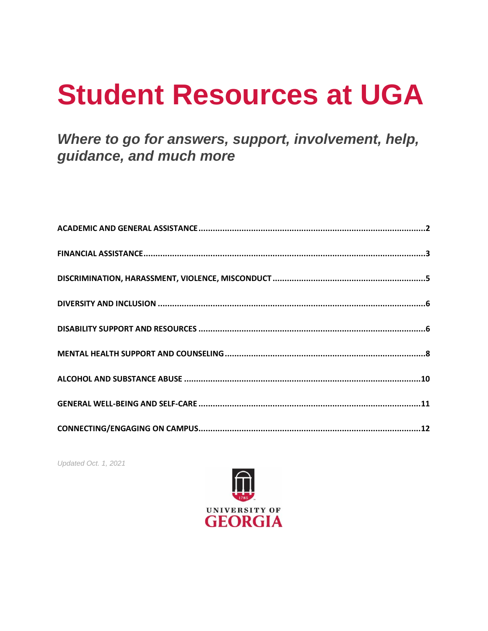# **Student Resources at UGA**

# Where to go for answers, support, involvement, help, guidance, and much more

Updated Oct. 1, 2021

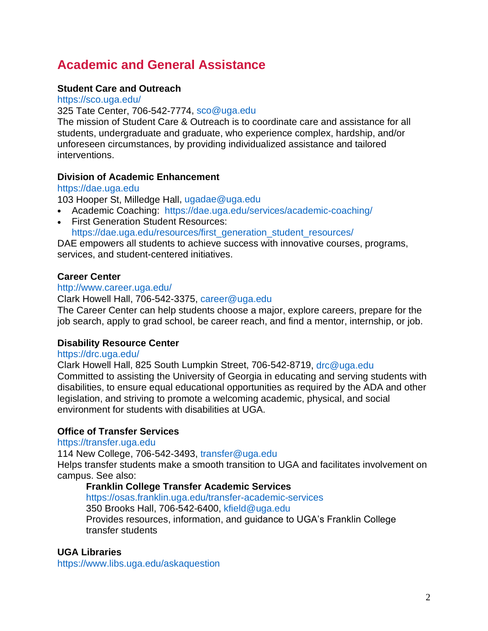# <span id="page-1-0"></span>**Academic and General Assistance**

## **Student Care and Outreach**

<https://sco.uga.edu/>

325 Tate Center, 706-542-7774, [sco@uga.edu](mailto:sco@uga.edu)

The mission of Student Care & Outreach is to coordinate care and assistance for all students, undergraduate and graduate, who experience complex, hardship, and/or unforeseen circumstances, by providing individualized assistance and tailored interventions.

#### **Division of Academic Enhancement**

#### [https://dae.uga.edu](https://dae.uga.edu/)

103 Hooper St, Milledge Hall, [ugadae@uga.edu](mailto:ugadae@uga.edu)

- Academic Coaching: <https://dae.uga.edu/services/academic-coaching/>
- First Generation Student Resources: [https://dae.uga.edu/resources/first\\_generation\\_student\\_resources/](https://dae.uga.edu/resources/first_generation_student_resources/)

DAE empowers all students to achieve success with innovative courses, programs, services, and student-centered initiatives.

#### **Career Center**

#### <http://www.career.uga.edu/>

#### Clark Howell Hall, 706-542-3375, [career@uga.edu](mailto:career@uga.edu)

The Career Center can help students choose a major, explore careers, prepare for the job search, apply to grad school, be career reach, and find a mentor, internship, or job.

#### **Disability Resource Center**

#### <https://drc.uga.edu/>

Clark Howell Hall, 825 South Lumpkin Street, 706-542-8719, [drc@uga.edu](mailto:drc@uga.edu) Committed to assisting the University of Georgia in educating and serving students with disabilities, to ensure equal educational opportunities as required by the ADA and other legislation, and striving to promote a welcoming academic, physical, and social environment for students with disabilities at UGA.

#### **Office of Transfer Services**

#### [https://transfer.uga.edu](https://transfer.uga.edu/)

114 New College, 706-542-3493, [transfer@uga.edu](mailto:transfer@uga.edu) Helps transfer students make a smooth transition to UGA and facilitates involvement on campus. See also:

#### **Franklin College Transfer Academic Services**

<https://osas.franklin.uga.edu/transfer-academic-services> 350 Brooks Hall, 706-542-6400, [kfield@uga.edu](mailto:kfield@uga.edu)

Provides resources, information, and guidance to UGA's Franklin College transfer students

#### **UGA Libraries**

<https://www.libs.uga.edu/askaquestion>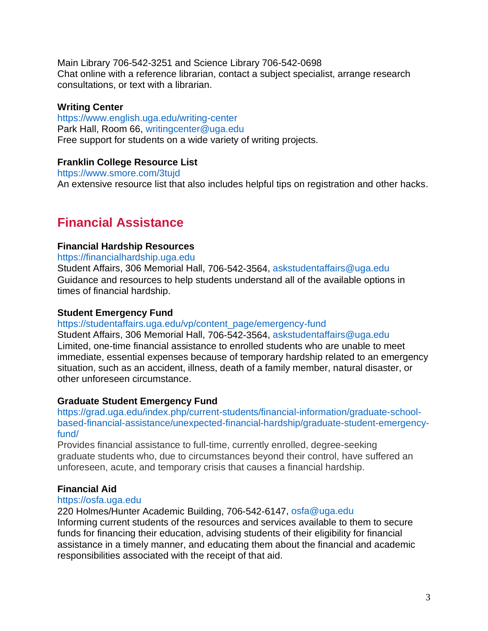Main Library 706-542-3251 and Science Library 706-542-0698 Chat online with a reference librarian, contact a subject specialist, arrange research consultations, or text with a librarian.

#### **Writing Center**

<https://www.english.uga.edu/writing-center> Park Hall, Room 66, [writingcenter@uga.edu](mailto:writingcenter@uga.edu) Free support for students on a wide variety of writing projects.

#### **Franklin College Resource List**

<https://www.smore.com/3tujd>

An extensive resource list that also includes helpful tips on registration and other hacks.

# <span id="page-2-0"></span>**Financial Assistance**

#### **Financial Hardship Resources**

[https://financialhardship.uga.edu](https://financialhardship.uga.edu/) Student Affairs, 306 Memorial Hall, 706-542-3564, [askstudentaffairs@uga.edu](mailto:askstudentaffairs@uga.edu)

Guidance and resources to help students understand all of the available options in times of financial hardship.

#### **Student Emergency Fund**

[https://studentaffairs.uga.edu/vp/content\\_page/emergency-fund](https://studentaffairs.uga.edu/vp/content_page/emergency-fund)

Student Affairs, 306 Memorial Hall, 706-542-3564, [askstudentaffairs@uga.edu](mailto:askstudentaffairs@uga.edu) Limited, one-time financial assistance to enrolled students who are unable to meet immediate, essential expenses because of temporary hardship related to an emergency situation, such as an accident, illness, death of a family member, natural disaster, or other unforeseen circumstance.

#### **Graduate Student Emergency Fund**

[https://grad.uga.edu/index.php/current-students/financial-information/graduate-school](https://grad.uga.edu/index.php/current-students/financial-information/graduate-school-based-financial-assistance/unexpected-financial-hardship/graduate-student-emergency-fund/)[based-financial-assistance/unexpected-financial-hardship/graduate-student-emergency](https://grad.uga.edu/index.php/current-students/financial-information/graduate-school-based-financial-assistance/unexpected-financial-hardship/graduate-student-emergency-fund/)[fund/](https://grad.uga.edu/index.php/current-students/financial-information/graduate-school-based-financial-assistance/unexpected-financial-hardship/graduate-student-emergency-fund/)

Provides financial assistance to full-time, currently enrolled, degree-seeking graduate students who, due to circumstances beyond their control, have suffered an unforeseen, acute, and temporary crisis that causes a financial hardship.

#### **Financial Aid**

#### [https://osfa.uga.edu](https://osfa.uga.edu/)

220 Holmes/Hunter Academic Building, 706-542-6147, [osfa@uga.edu](mailto:osfa@uga.edu)

Informing current students of the resources and services available to them to secure funds for financing their education, advising students of their eligibility for financial assistance in a timely manner, and educating them about the financial and academic responsibilities associated with the receipt of that aid.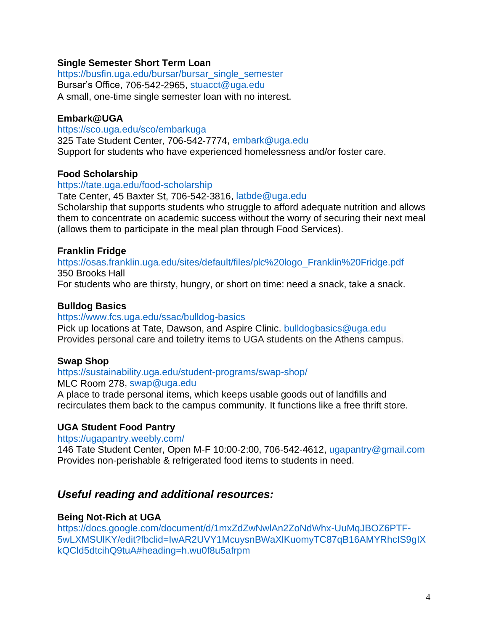#### **Single Semester Short Term Loan**

[https://busfin.uga.edu/bursar/bursar\\_single\\_semester](https://busfin.uga.edu/bursar/bursar_single_semester/) Bursar's Office, 706-542-2965, [stuacct@uga.edu](mailto:stuacct@uga.edu) A small, one-time single semester loan with no interest.

#### **Embark@UGA**

<https://sco.uga.edu/sco/embarkuga> 325 Tate Student Center, 706-542-7774, [embark@uga.edu](mailto:embark@uga.edu) Support for students who have experienced homelessness and/or foster care.

#### **Food Scholarship**

#### [https://tate.uga.edu/food-scholarship](https://tate.uga.edu/food-scholarship/)

Tate Center, 45 Baxter St, 706-542-3816, [latbde@uga.edu](mailto:latbde@uga.edu) Scholarship that supports students who struggle to afford adequate nutrition and allows them to concentrate on academic success without the worry of securing their next meal

(allows them to participate in the meal plan through Food Services).

#### **Franklin Fridge**

[https://osas.franklin.uga.edu/sites/default/files/plc%20logo\\_Franklin%20Fridge.pdf](https://osas.franklin.uga.edu/sites/default/files/plc%20logo_Franklin%20Fridge.pdf) 350 Brooks Hall

For students who are thirsty, hungry, or short on time: need a snack, take a snack.

#### **Bulldog Basics**

#### <https://www.fcs.uga.edu/ssac/bulldog-basics>

Pick up locations at Tate, Dawson, and Aspire Clinic. [bulldogbasics@uga.edu](mailto:bulldogbasics@uga.edu) Provides personal care and toiletry items to UGA students on the Athens campus.

#### **Swap Shop**

#### <https://sustainability.uga.edu/student-programs/swap-shop/>

MLC Room 278, [swap@uga.edu](mailto:swap@uga.edu)

A place to trade personal items, which keeps usable goods out of landfills and recirculates them back to the campus community. It functions like a free thrift store.

#### **UGA Student Food Pantry**

#### <https://ugapantry.weebly.com/>

146 Tate Student Center, Open M-F 10:00-2:00, 706-542-4612, [ugapantry@gmail.com](mailto:ugapantry@gmail.com) Provides non-perishable & refrigerated food items to students in need.

# *Useful reading and additional resources:*

#### **Being Not-Rich at UGA**

[https://docs.google.com/document/d/1mxZdZwNwlAn2ZoNdWhx-UuMqJBOZ6PTF-](https://docs.google.com/document/d/1mxZdZwNwlAn2ZoNdWhx-UuMqJBOZ6PTF-5wLXMSUlKY/edit?fbclid=IwAR2UVY1McuysnBWaXlKuomyTC87qB16AMYRhcIS9gIXkQCld5dtcihQ9tuA#heading=h.wu0f8u5afrpm)[5wLXMSUlKY/edit?fbclid=IwAR2UVY1McuysnBWaXlKuomyTC87qB16AMYRhcIS9gIX](https://docs.google.com/document/d/1mxZdZwNwlAn2ZoNdWhx-UuMqJBOZ6PTF-5wLXMSUlKY/edit?fbclid=IwAR2UVY1McuysnBWaXlKuomyTC87qB16AMYRhcIS9gIXkQCld5dtcihQ9tuA#heading=h.wu0f8u5afrpm) [kQCld5dtcihQ9tuA#heading=h.wu0f8u5afrpm](https://docs.google.com/document/d/1mxZdZwNwlAn2ZoNdWhx-UuMqJBOZ6PTF-5wLXMSUlKY/edit?fbclid=IwAR2UVY1McuysnBWaXlKuomyTC87qB16AMYRhcIS9gIXkQCld5dtcihQ9tuA#heading=h.wu0f8u5afrpm)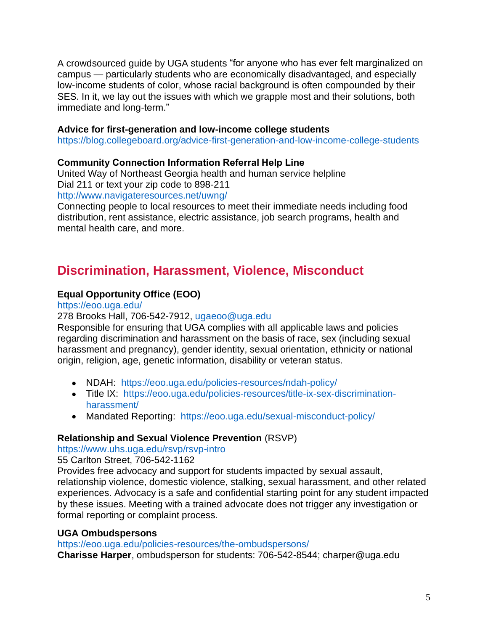A crowdsourced guide by UGA students "for anyone who has ever felt marginalized on campus — particularly students who are economically disadvantaged, and especially low-income students of color, whose racial background is often compounded by their SES. In it, we lay out the issues with which we grapple most and their solutions, both immediate and long-term."

#### **Advice for first-generation and low-income college students**

<https://blog.collegeboard.org/advice-first-generation-and-low-income-college-students>

#### **Community Connection Information Referral Help Line**

United Way of Northeast Georgia health and human service helpline Dial 211 or text your zip code to 898-211

<http://www.navigateresources.net/uwng/>

Connecting people to local resources to meet their immediate needs including food distribution, rent assistance, electric assistance, job search programs, health and mental health care, and more.

# <span id="page-4-0"></span>**Discrimination, Harassment, Violence, Misconduct**

## **Equal Opportunity Office (EOO)**

#### <https://eoo.uga.edu/>

#### 278 Brooks Hall, 706-542-7912, [ugaeoo@uga.edu](mailto:ugaeoo@uga.edu)

Responsible for ensuring that UGA complies with all applicable laws and policies regarding discrimination and harassment on the basis of race, sex (including sexual harassment and pregnancy), gender identity, sexual orientation, ethnicity or national origin, religion, age, genetic information, disability or veteran status.

- NDAH: <https://eoo.uga.edu/policies-resources/ndah-policy/>
- Title IX: [https://eoo.uga.edu/policies-resources/title-ix-sex-discrimination](https://eoo.uga.edu/policies-resources/title-ix-sex-discrimination-harassment/)[harassment/](https://eoo.uga.edu/policies-resources/title-ix-sex-discrimination-harassment/)
- Mandated Reporting: <https://eoo.uga.edu/sexual-misconduct-policy/>

#### **Relationship and Sexual Violence Prevention** (RSVP)

#### <https://www.uhs.uga.edu/rsvp/rsvp-intro>

55 Carlton Street, 706-542-1162

Provides free advocacy and support for students impacted by sexual assault, relationship violence, domestic violence, stalking, sexual harassment, and other related experiences. Advocacy is a safe and confidential starting point for any student impacted by these issues. Meeting with a trained advocate does not trigger any investigation or formal reporting or complaint process.

#### **UGA Ombudspersons**

<https://eoo.uga.edu/policies-resources/the-ombudspersons/>

**Charisse Harper**, ombudsperson for students: 706-542-8544; [charper@uga.edu](mailto:charper@uga.edu)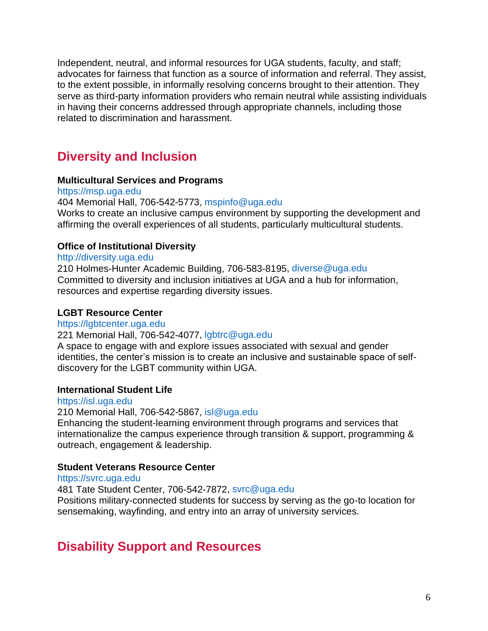Independent, neutral, and informal resources for UGA students, faculty, and staff; advocates for fairness that function as a source of information and referral. They assist, to the extent possible, in informally resolving concerns brought to their attention. They serve as third-party information providers who remain neutral while assisting individuals in having their concerns addressed through appropriate channels, including those related to discrimination and harassment.

# <span id="page-5-0"></span>**Diversity and Inclusion**

#### **Multicultural Services and Programs**

[https://msp.uga.edu](https://msp.uga.edu/) 404 Memorial Hall, 706-542-5773, [mspinfo@uga.edu](mailto:mspinfo@uga.edu) Works to create an inclusive campus environment by supporting the development and affirming the overall experiences of all students, particularly multicultural students.

## **Office of Institutional Diversity**

#### [http://diversity.uga.edu](http://diversity.uga.edu/)

210 Holmes-Hunter Academic Building, 706-583-8195, [diverse@uga.edu](mailto:diverse@uga.edu) Committed to diversity and inclusion initiatives at UGA and a hub for information, resources and expertise regarding diversity issues.

#### **LGBT Resource Center**

#### [https://lgbtcenter.uga.edu](https://lgbtcenter.uga.edu/)

#### 221 Memorial Hall, 706-542-4077, [lgbtrc@uga.edu](mailto:lgbtrc@uga.edu)

A space to engage with and explore issues associated with sexual and gender identities, the center's mission is to create an inclusive and sustainable space of selfdiscovery for the LGBT community within UGA.

#### **International Student Life**

#### [https://isl.uga.edu](https://isl.uga.edu/)

210 Memorial Hall, 706-542-5867, [isl@uga.edu](mailto:isl@uga.edu)

Enhancing the student-learning environment through programs and services that internationalize the campus experience through transition & support, programming & outreach, engagement & leadership.

#### **Student Veterans Resource Center**

#### [https://svrc.uga.edu](https://svrc.uga.edu/)

481 Tate Student Center, 706-542-7872, [svrc@uga.edu](mailto:svrc@uga.edu)

Positions military-connected students for success by serving as the go-to location for sensemaking, wayfinding, and entry into an array of university services.

# <span id="page-5-1"></span>**Disability Support and Resources**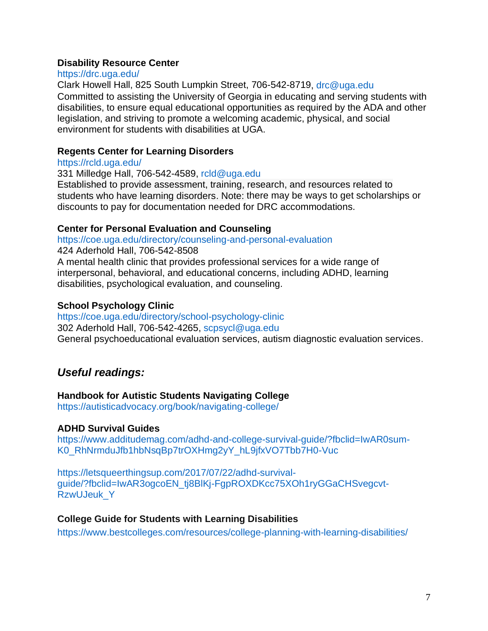#### **Disability Resource Center**

#### <https://drc.uga.edu/>

Clark Howell Hall, 825 South Lumpkin Street, 706-542-8719, [drc@uga.edu](mailto:drc@uga.edu) Committed to assisting the University of Georgia in educating and serving students with disabilities, to ensure equal educational opportunities as required by the ADA and other legislation, and striving to promote a welcoming academic, physical, and social environment for students with disabilities at UGA.

## **Regents Center for Learning Disorders**

#### <https://rcld.uga.edu/>

331 Milledge Hall, 706-542-4589, [rcld@uga.edu](mailto:rcld@uga.edu) Established to provide assessment, training, research, and resources related to students who have learning disorders. Note: there may be ways to get scholarships or discounts to pay for documentation needed for DRC accommodations.

#### **Center for Personal Evaluation and Counseling**

<https://coe.uga.edu/directory/counseling-and-personal-evaluation>

424 Aderhold Hall, 706-542-8508

A mental health clinic that provides professional services for a wide range of interpersonal, behavioral, and educational concerns, including ADHD, learning disabilities, psychological evaluation, and counseling.

## **School Psychology Clinic**

<https://coe.uga.edu/directory/school-psychology-clinic> 302 Aderhold Hall, 706-542-4265, [scpsycl@uga.edu](mailto:scpsycl@uga.edu)  General psychoeducational evaluation services, autism diagnostic evaluation services.

# *Useful readings:*

#### **Handbook for Autistic Students Navigating College**

<https://autisticadvocacy.org/book/navigating-college/>

#### **ADHD Survival Guides**

[https://www.additudemag.com/adhd-and-college-survival-guide/?fbclid=IwAR0sum-](https://www.additudemag.com/adhd-and-college-survival-guide/?fbclid=IwAR0sum-K0_RhNrmduJfb1hbNsqBp7trOXHmg2yY_hL9jfxVO7Tbb7H0-Vuc)[K0\\_RhNrmduJfb1hbNsqBp7trOXHmg2yY\\_hL9jfxVO7Tbb7H0-Vuc](https://www.additudemag.com/adhd-and-college-survival-guide/?fbclid=IwAR0sum-K0_RhNrmduJfb1hbNsqBp7trOXHmg2yY_hL9jfxVO7Tbb7H0-Vuc)

[https://letsqueerthingsup.com/2017/07/22/adhd-survival](https://letsqueerthingsup.com/2017/07/22/adhd-survival-guide/?fbclid=IwAR3ogcoEN_tj8BlKj-FgpROXDKcc75XOh1ryGGaCHSvegcvt-RzwUJeuk_Y)[guide/?fbclid=IwAR3ogcoEN\\_tj8BlKj-FgpROXDKcc75XOh1ryGGaCHSvegcvt-](https://letsqueerthingsup.com/2017/07/22/adhd-survival-guide/?fbclid=IwAR3ogcoEN_tj8BlKj-FgpROXDKcc75XOh1ryGGaCHSvegcvt-RzwUJeuk_Y)[RzwUJeuk\\_Y](https://letsqueerthingsup.com/2017/07/22/adhd-survival-guide/?fbclid=IwAR3ogcoEN_tj8BlKj-FgpROXDKcc75XOh1ryGGaCHSvegcvt-RzwUJeuk_Y)

#### **College Guide for Students with Learning Disabilities**

<https://www.bestcolleges.com/resources/college-planning-with-learning-disabilities/>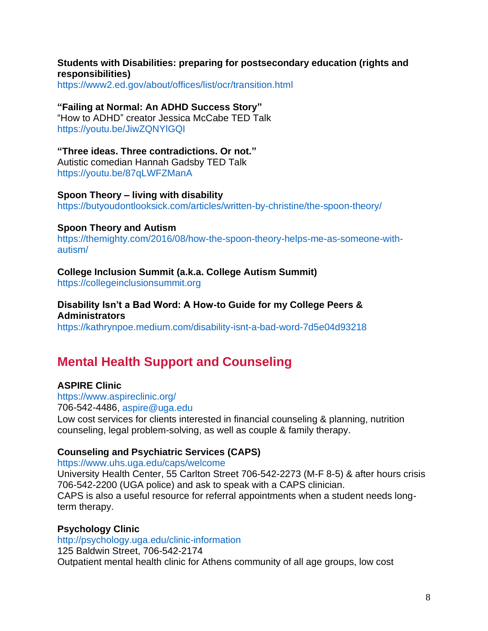#### **Students with Disabilities: preparing for postsecondary education (rights and responsibilities)**

<https://www2.ed.gov/about/offices/list/ocr/transition.html>

#### **"Failing at Normal: An ADHD Success Story"**

"How to ADHD" creator Jessica McCabe TED Talk <https://youtu.be/JiwZQNYlGQI>

#### **"Three ideas. Three contradictions. Or not."**

Autistic comedian Hannah Gadsby TED Talk <https://youtu.be/87qLWFZManA>

#### **Spoon Theory – living with disability**

<https://butyoudontlooksick.com/articles/written-by-christine/the-spoon-theory/>

#### **Spoon Theory and Autism**

[https://themighty.com/2016/08/how-the-spoon-theory-helps-me-as-someone-with](https://themighty.com/2016/08/how-the-spoon-theory-helps-me-as-someone-with-autism/)[autism/](https://themighty.com/2016/08/how-the-spoon-theory-helps-me-as-someone-with-autism/)

#### **College Inclusion Summit (a.k.a. College Autism Summit)**

[https://collegeinclusionsummit.org](https://collegeinclusionsummit.org/)

# **Disability Isn't a Bad Word: A How-to Guide for my College Peers &**

**Administrators**

<https://kathrynpoe.medium.com/disability-isnt-a-bad-word-7d5e04d93218>

# <span id="page-7-0"></span>**Mental Health Support and Counseling**

#### **ASPIRE Clinic**

<https://www.aspireclinic.org/> 706-542-4486, [aspire@uga.edu](mailto:aspire@uga.edu) Low cost services for clients interested in financial counseling & planning, nutrition counseling, legal problem-solving, as well as couple & family therapy.

#### **Counseling and Psychiatric Services (CAPS)**

#### <https://www.uhs.uga.edu/caps/welcome>

University Health Center, 55 Carlton Street 706-542-2273 (M-F 8-5) & after hours crisis 706-542-2200 (UGA police) and ask to speak with a CAPS clinician. CAPS is also a useful resource for referral appointments when a student needs longterm therapy.

#### **Psychology Clinic**

<http://psychology.uga.edu/clinic-information> 125 Baldwin Street, 706-542-2174 Outpatient mental health clinic for Athens community of all age groups, low cost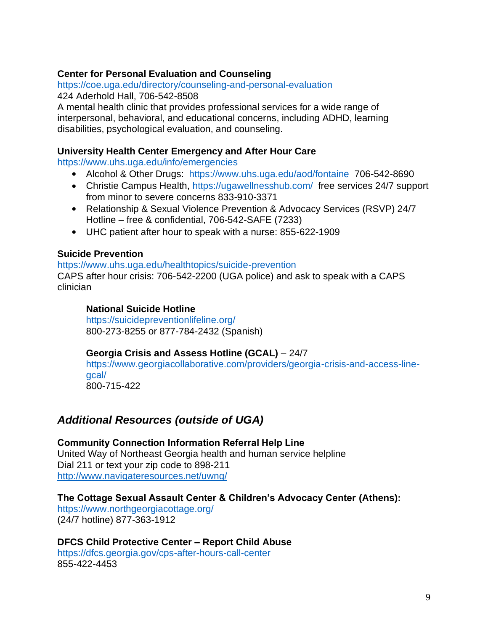## **Center for Personal Evaluation and Counseling**

<https://coe.uga.edu/directory/counseling-and-personal-evaluation> 424 Aderhold Hall, 706-542-8508

A mental health clinic that provides professional services for a wide range of interpersonal, behavioral, and educational concerns, including ADHD, learning disabilities, psychological evaluation, and counseling.

#### **University Health Center Emergency and After Hour Care**

<https://www.uhs.uga.edu/info/emergencies>

- Alcohol & Other Drugs: <https://www.uhs.uga.edu/aod/fontaine> 706-542-8690
- Christie Campus Health, <https://ugawellnesshub.com/> free services 24/7 support from minor to severe concerns 833-910-3371
- Relationship & Sexual Violence Prevention & Advocacy Services (RSVP) 24/7 Hotline – free & confidential, 706-542-SAFE (7233)
- UHC patient after hour to speak with a nurse: 855-622-1909

#### **Suicide Prevention**

#### <https://www.uhs.uga.edu/healthtopics/suicide-prevention>

CAPS after hour crisis: 706-542-2200 (UGA police) and ask to speak with a CAPS clinician

#### **National Suicide Hotline**

<https://suicidepreventionlifeline.org/> 800-273-8255 or 877-784-2432 (Spanish)

#### **Georgia Crisis and Assess Hotline (GCAL)** – 24/7

[https://www.georgiacollaborative.com/providers/georgia-crisis-and-access-line](https://www.georgiacollaborative.com/providers/georgia-crisis-and-access-line-gcal/)[gcal/](https://www.georgiacollaborative.com/providers/georgia-crisis-and-access-line-gcal/) 800-715-422

# *Additional Resources (outside of UGA)*

**Community Connection Information Referral Help Line** United Way of Northeast Georgia health and human service helpline Dial 211 or text your zip code to 898-211 <http://www.navigateresources.net/uwng/>

## **The Cottage Sexual Assault Center & Children's Advocacy Center (Athens):**

<https://www.northgeorgiacottage.org/> (24/7 hotline) 877-363-1912

**DFCS Child Protective Center – Report Child Abuse**  <https://dfcs.georgia.gov/cps-after-hours-call-center> 855-422-4453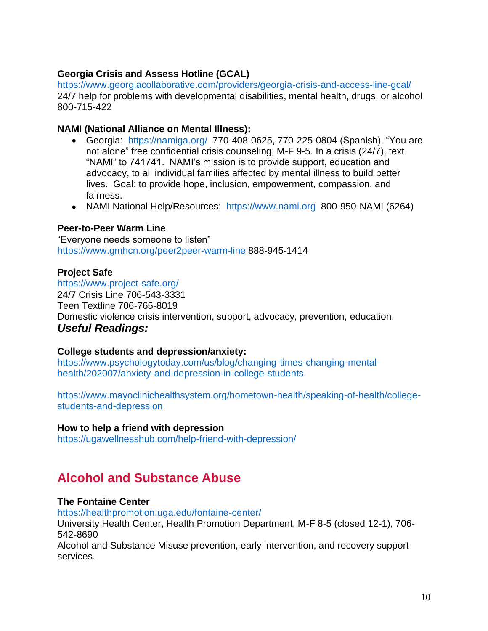# **Georgia Crisis and Assess Hotline (GCAL)**

<https://www.georgiacollaborative.com/providers/georgia-crisis-and-access-line-gcal/> 24/7 help for problems with developmental disabilities, mental health, drugs, or alcohol 800-715-422

## **NAMI (National Alliance on Mental Illness):**

- Georgia: <https://namiga.org/> 770-408-0625, 770-225-0804 (Spanish), "You are not alone" free confidential crisis counseling, M-F 9-5. In a crisis (24/7), text "NAMI" to 741741. NAMI's mission is to provide support, education and advocacy, to all individual families affected by mental illness to build better lives. Goal: to provide hope, inclusion, empowerment, compassion, and fairness.
- NAMI National Help/Resources: [https://www.nami.org](https://www.nami.org/) 800-950-NAMI (6264)

## **Peer-to-Peer Warm Line**

"Everyone needs someone to listen" <https://www.gmhcn.org/peer2peer-warm-line> 888-945-1414

# **Project Safe**

<https://www.project-safe.org/> 24/7 Crisis Line 706-543-3331 Teen Textline 706-765-8019 Domestic violence crisis intervention, support, advocacy, prevention, education. *Useful Readings:*

# **College students and depression/anxiety:**

[https://www.psychologytoday.com/us/blog/changing-times-changing-mental](https://www.psychologytoday.com/us/blog/changing-times-changing-mental-health/202007/anxiety-and-depression-in-college-students)[health/202007/anxiety-and-depression-in-college-students](https://www.psychologytoday.com/us/blog/changing-times-changing-mental-health/202007/anxiety-and-depression-in-college-students)

[https://www.mayoclinichealthsystem.org/hometown-health/speaking-of-health/college](https://www.mayoclinichealthsystem.org/hometown-health/speaking-of-health/college-students-)[students-](https://www.mayoclinichealthsystem.org/hometown-health/speaking-of-health/college-students-)[and-depression](https://www.mayoclinichealthsystem.org/hometown-health/speaking-of-health/college-students-and-depression)

#### **How to help a friend with depression**

<https://ugawellnesshub.com/help-friend-with-depression/>

# <span id="page-9-0"></span>**Alcohol and Substance Abuse**

#### **The Fontaine Center**

<https://healthpromotion.uga.edu/fontaine-center/> University Health Center, Health Promotion Department, M-F 8-5 (closed 12-1), 706- 542-8690 Alcohol and Substance Misuse prevention, early intervention, and recovery support

services.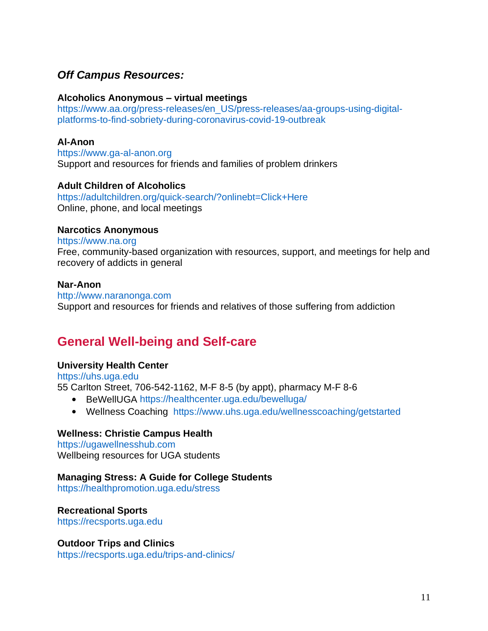# *Off Campus Resources:*

#### **Alcoholics Anonymous – virtual meetings**

[https://www.aa.org/press-releases/en\\_US/press-releases/aa-groups-using-digital](https://www.aa.org/press-releases/en_US/press-releases/aa-groups-using-digital-platforms-to-find-sobriety-during-coronavirus-covid-19-outbreak)[platforms-to-find-sobriety-during-coronavirus-covid-19-outbreak](https://www.aa.org/press-releases/en_US/press-releases/aa-groups-using-digital-platforms-to-find-sobriety-during-coronavirus-covid-19-outbreak)

#### **Al-Anon**

[https://www.ga-al-anon.org](https://www.ga-al-anon.org/) Support and resources for friends and families of problem drinkers

#### **Adult Children of Alcoholics**

<https://adultchildren.org/quick-search/?onlinebt=Click+Here> Online, phone, and local meetings

#### **Narcotics Anonymous**

[https://www.na.org](https://www.na.org/)

Free, community-based organization with resources, support, and meetings for help and recovery of addicts in general

#### **Nar-Anon**

[http://www.naranonga.com](http://www.naranonga.com/) Support and resources for friends and relatives of those suffering from addiction

# <span id="page-10-0"></span>**General Well-being and Self-care**

#### **University Health Center**

[https://uhs.uga.edu](https://uhs.uga.edu/) 55 Carlton Street, 706-542-1162, M-F 8-5 (by appt), pharmacy M-F 8-6

- BeWellUGA <https://healthcenter.uga.edu/bewelluga/>
- Wellness Coaching <https://www.uhs.uga.edu/wellnesscoaching/getstarted>

#### **Wellness: Christie Campus Health**

[https://ugawellnesshub.com](https://ugawellnesshub.com/) Wellbeing resources for UGA students

#### **Managing Stress: A Guide for College Students**

[https://healthpromotion.uga.edu/stress](https://healthpromotion.uga.edu/stress/)

#### **Recreational Sports**

[https://recsports.uga.edu](https://recsports.uga.edu/)

#### **Outdoor Trips and Clinics**

<https://recsports.uga.edu/trips-and-clinics/>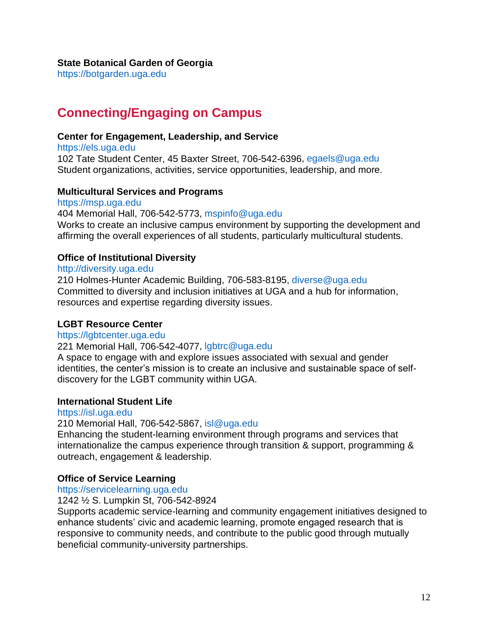[https://botgarden.uga.edu](https://botgarden.uga.edu/)

# <span id="page-11-0"></span>**Connecting/Engaging on Campus**

#### **Center for Engagement, Leadership, and Service**

[https://els.uga.edu](https://els.uga.edu/) 102 Tate Student Center, 45 Baxter Street, 706-542-6396, [egaels@uga.edu](mailto:egaels@uga.edu) Student organizations, activities, service opportunities, leadership, and more.

#### **Multicultural Services and Programs**

[https://msp.uga.edu](https://msp.uga.edu/) 404 Memorial Hall, 706-542-5773, [mspinfo@uga.edu](mailto:mspinfo@uga.edu) Works to create an inclusive campus environment by supporting the development and affirming the overall experiences of all students, particularly multicultural students.

## **Office of Institutional Diversity**

#### [http://diversity.uga.edu](http://diversity.uga.edu/)

210 Holmes-Hunter Academic Building, 706-583-8195, [diverse@uga.edu](mailto:diverse@uga.edu) Committed to diversity and inclusion initiatives at UGA and a hub for information, resources and expertise regarding diversity issues.

#### **LGBT Resource Center**

#### [https://lgbtcenter.uga.edu](https://lgbtcenter.uga.edu/)

#### 221 Memorial Hall, 706-542-4077, [lgbtrc@uga.edu](mailto:lgbtrc@uga.edu)

A space to engage with and explore issues associated with sexual and gender identities, the center's mission is to create an inclusive and sustainable space of selfdiscovery for the LGBT community within UGA.

#### **International Student Life**

#### [https://isl.uga.edu](https://isl.uga.edu/)

210 Memorial Hall, 706-542-5867, [isl@uga.edu](mailto:isl@uga.edu)

Enhancing the student-learning environment through programs and services that internationalize the campus experience through transition & support, programming & outreach, engagement & leadership.

#### **Office of Service Learning**

#### [https://servicelearning.uga.edu](https://servicelearning.uga.edu/)

## 1242 ½ S. Lumpkin St, 706-542-8924

Supports academic service-learning and community engagement initiatives designed to enhance students' civic and academic learning, promote engaged research that is responsive to community needs, and contribute to the public good through mutually beneficial community-university partnerships.